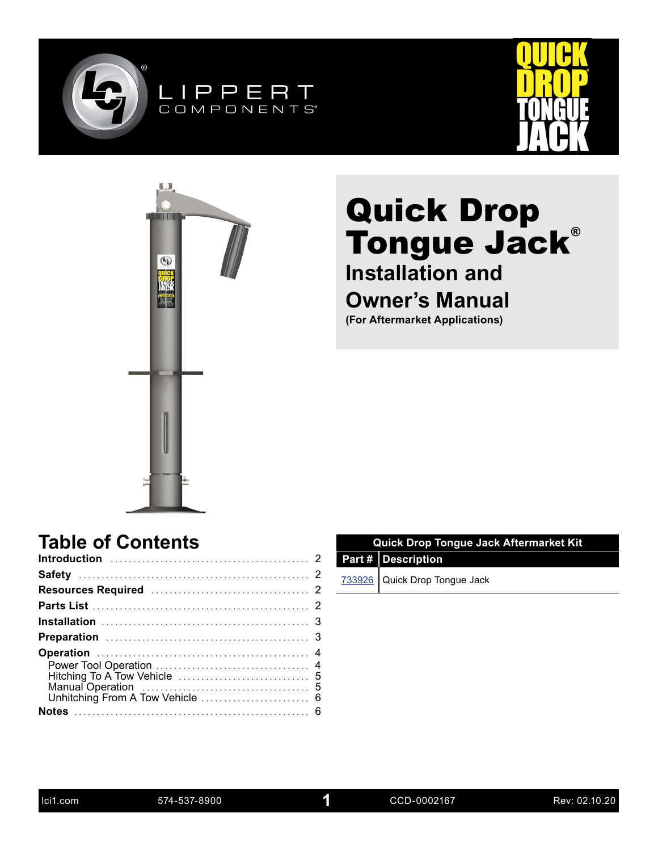





# **Installation and**

### **Owner's Manual**

**(For Aftermarket Applications)**

### **Table of Contents**

| <b>Quick Drop Tongue Jack Aftermarket Kit</b> |                               |  |  |
|-----------------------------------------------|-------------------------------|--|--|
|                                               | Part # Description            |  |  |
|                                               | 733926 Quick Drop Tongue Jack |  |  |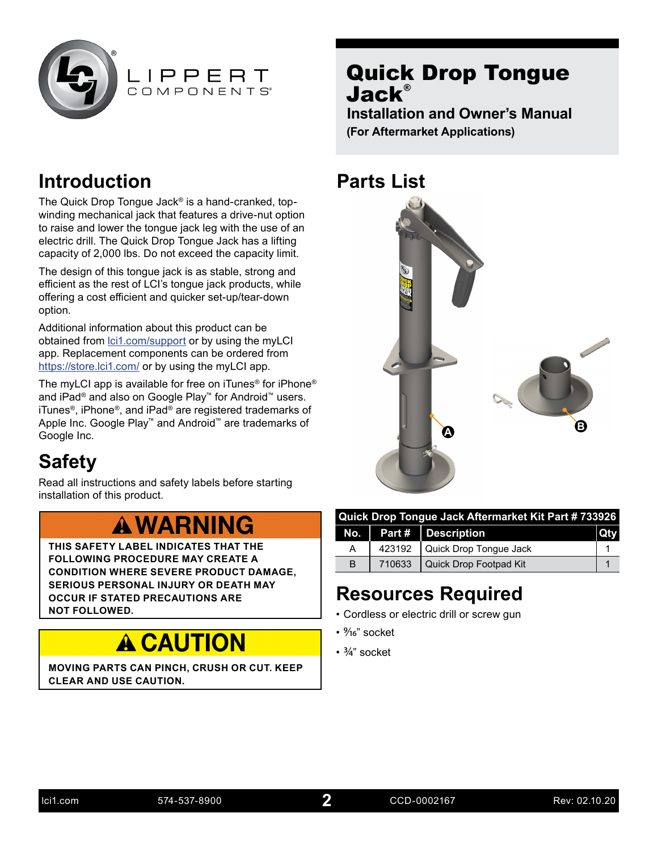<span id="page-1-0"></span>



### **Introduction**

The Quick Drop Tongue Jack® is a hand-cranked, topwinding mechanical jack that features a drive-nut option to raise and lower the tongue jack leg with the use of an electric drill. The Quick Drop Tongue Jack has a lifting capacity of 2,000 lbs. Do not exceed the capacity limit.

The design of this tongue jack is as stable, strong and efficient as the rest of LCI's tongue jack products, while offering a cost efficient and quicker set-up/tear-down option.

Additional information about this product can be obtained from [lci1.com/support](https://www.lci1.com/support/) or by using the myLCI app. Replacement components can be ordered from <https://store.lci1.com/>or by using the myLCI app.

The myLCI app is available for free on iTunes® for iPhone® and iPad® and also on Google Play™ for Android™ users. iTunes®, iPhone®, and iPad® are registered trademarks of Apple Inc. Google Play™ and Android™ are trademarks of Google Inc.

## **Safety**

Read all instructions and safety labels before starting installation of this product.

## **A WARNING**

**THIS SAFETY LABEL INDICATES THAT THE FOLLOWING PROCEDURE MAY CREATE A CONDITION WHERE SEVERE PRODUCT DAMAGE, SERIOUS PERSONAL INJURY OR DEATH MAY OCCUR IF STATED PRECAUTIONS ARE NOT FOLLOWED.**

# **A CAUTION**

**MOVING PARTS CAN PINCH, CRUSH OR CUT. KEEP CLEAR AND USE CAUTION.**

### Quick Drop Tongue Jack®

**Installation and Owner's Manual (For Aftermarket Applications)**

### **Parts List**



| Quick Drop Tongue Jack Aftermarket Kit Part # 733926 |        |                                        |  |
|------------------------------------------------------|--------|----------------------------------------|--|
|                                                      |        | No. $\vert$ Part # $\vert$ Description |  |
| A                                                    |        | 423192   Quick Drop Tongue Jack        |  |
| B                                                    | 710633 | Quick Drop Footpad Kit                 |  |

## **Resources Required**

- Cordless or electric drill or screw gun
- %<sup>"</sup> socket
- 3/4" socket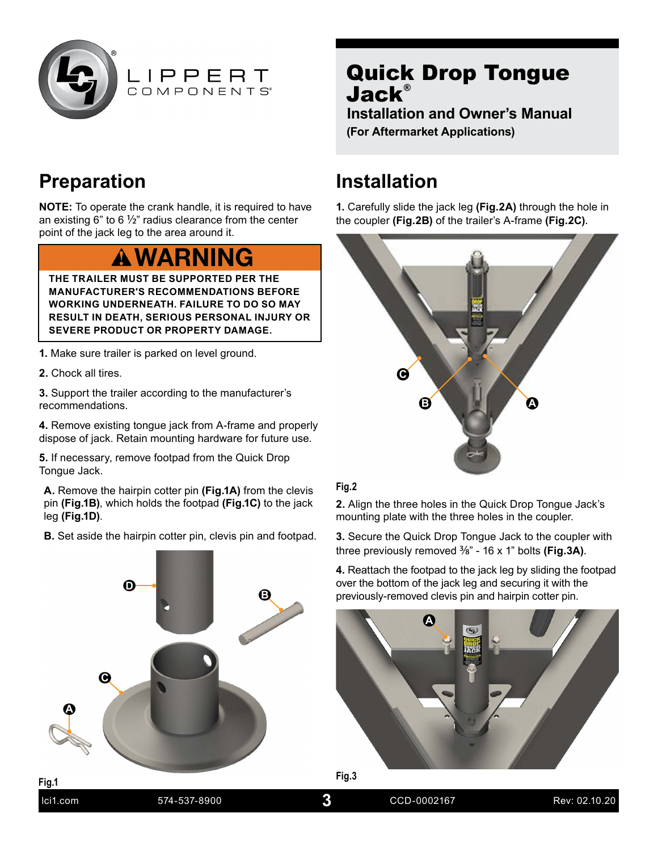<span id="page-2-0"></span>



### **Preparation**

**NOTE:** To operate the crank handle, it is required to have an existing 6" to 6  $\frac{1}{2}$ " radius clearance from the center point of the jack leg to the area around it.

## **WARNING**

**THE TRAILER MUST BE SUPPORTED PER THE MANUFACTURER'S RECOMMENDATIONS BEFORE WORKING UNDERNEATH. FAILURE TO DO SO MAY RESULT IN DEATH, SERIOUS PERSONAL INJURY OR SEVERE PRODUCT OR PROPERTY DAMAGE.**

- **1.** Make sure trailer is parked on level ground.
- **2.** Chock all tires.

**3.** Support the trailer according to the manufacturer's recommendations.

**4.** Remove existing tongue jack from A-frame and properly dispose of jack. Retain mounting hardware for future use.

**5.** If necessary, remove footpad from the Quick Drop Tongue Jack.

**A.** Remove the hairpin cotter pin **(Fig.1A)** from the clevis pin **(Fig.1B)**, which holds the footpad **(Fig.1C)** to the jack leg **(Fig.1D)**.

**B.** Set aside the hairpin cotter pin, clevis pin and footpad.



### Quick Drop Tongue Jack®

**Installation and Owner's Manual (For Aftermarket Applications)**

### **Installation**

**1.** Carefully slide the jack leg **(Fig.2A)** through the hole in the coupler **(Fig.2B)** of the trailer's A-frame **(Fig.2C)**.



#### **Fig.2**

**2.** Align the three holes in the Quick Drop Tongue Jack's mounting plate with the three holes in the coupler.

**3.** Secure the Quick Drop Tongue Jack to the coupler with three previously removed 3/8" - 16 x 1" bolts **(Fig.3A)**.

**4.** Reattach the footpad to the jack leg by sliding the footpad over the bottom of the jack leg and securing it with the previously-removed clevis pin and hairpin cotter pin.



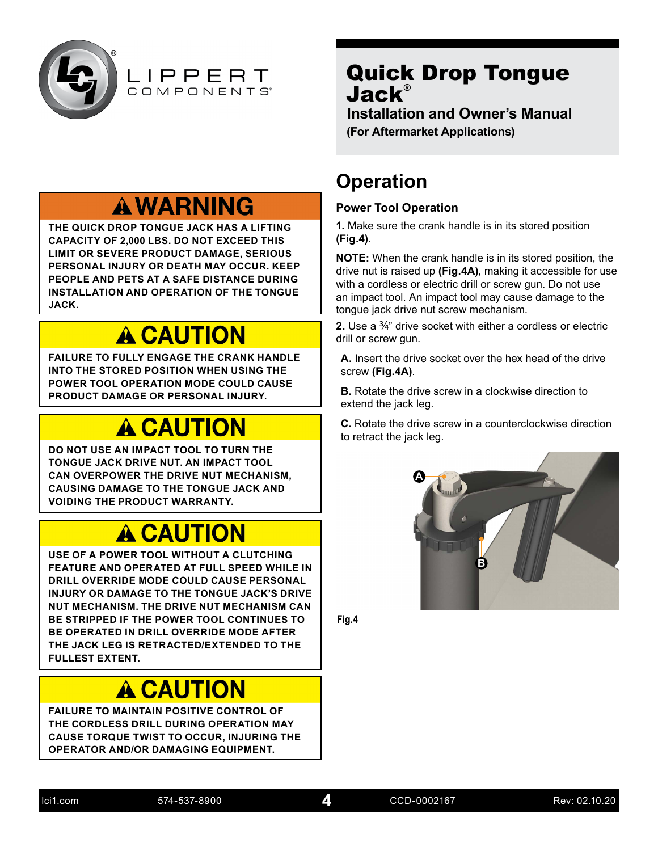<span id="page-3-0"></span>

**Installation and Owner's Manual (For Aftermarket Applications)**

## **A WARNING**

LIPPERT COMPONENTS®

**THE QUICK DROP TONGUE JACK HAS A LIFTING CAPACITY OF 2,000 LBS. DO NOT EXCEED THIS LIMIT OR SEVERE PRODUCT DAMAGE, SERIOUS PERSONAL INJURY OR DEATH MAY OCCUR. KEEP PEOPLE AND PETS AT A SAFE DISTANCE DURING INSTALLATION AND OPERATION OF THE TONGUE JACK.**

# **A CAUTION**

**FAILURE TO FULLY ENGAGE THE CRANK HANDLE INTO THE STORED POSITION WHEN USING THE POWER TOOL OPERATION MODE COULD CAUSE PRODUCT DAMAGE OR PERSONAL INJURY.**

# **A CAUTION**

**DO NOT USE AN IMPACT TOOL TO TURN THE TONGUE JACK DRIVE NUT. AN IMPACT TOOL CAN OVERPOWER THE DRIVE NUT MECHANISM, CAUSING DAMAGE TO THE TONGUE JACK AND VOIDING THE PRODUCT WARRANTY.**

## **A CAUTION**

**USE OF A POWER TOOL WITHOUT A CLUTCHING FEATURE AND OPERATED AT FULL SPEED WHILE IN DRILL OVERRIDE MODE COULD CAUSE PERSONAL INJURY OR DAMAGE TO THE TONGUE JACK'S DRIVE NUT MECHANISM. THE DRIVE NUT MECHANISM CAN BE STRIPPED IF THE POWER TOOL CONTINUES TO BE OPERATED IN DRILL OVERRIDE MODE AFTER THE JACK LEG IS RETRACTED/EXTENDED TO THE FULLEST EXTENT.**

# **A CAUTION**

**FAILURE TO MAINTAIN POSITIVE CONTROL OF THE CORDLESS DRILL DURING OPERATION MAY CAUSE TORQUE TWIST TO OCCUR, INJURING THE OPERATOR AND/OR DAMAGING EQUIPMENT.**

### **Operation**

#### **Power Tool Operation**

**1.** Make sure the crank handle is in its stored position **(Fig.4)**.

**NOTE:** When the crank handle is in its stored position, the drive nut is raised up **(Fig.4A)**, making it accessible for use with a cordless or electric drill or screw gun. Do not use an impact tool. An impact tool may cause damage to the tongue jack drive nut screw mechanism.

**2.** Use a 3/4" drive socket with either a cordless or electric drill or screw gun.

**A.** Insert the drive socket over the hex head of the drive screw **(Fig.4A)**.

**B.** Rotate the drive screw in a clockwise direction to extend the jack leg.

**C.** Rotate the drive screw in a counterclockwise direction to retract the jack leg.



**Fig.4**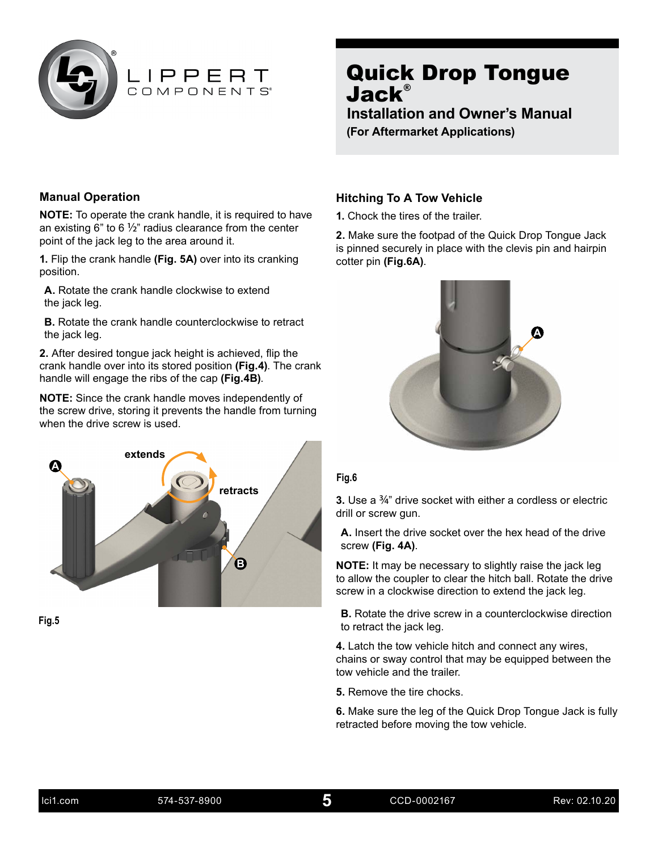<span id="page-4-0"></span>

**Installation and Owner's Manual (For Aftermarket Applications)**

#### **Manual Operation**

**NOTE:** To operate the crank handle, it is required to have an existing 6" to 6  $\frac{1}{2}$ " radius clearance from the center point of the jack leg to the area around it.

**1.** Flip the crank handle **(Fig. 5A)** over into its cranking position.

**A.** Rotate the crank handle clockwise to extend the jack leg.

**B.** Rotate the crank handle counterclockwise to retract the jack leg.

**2.** After desired tongue jack height is achieved, flip the crank handle over into its stored position **(Fig.4)**. The crank handle will engage the ribs of the cap **(Fig.4B)**.

**NOTE:** Since the crank handle moves independently of the screw drive, storing it prevents the handle from turning when the drive screw is used.



**Fig.5**

#### **Hitching To A Tow Vehicle**

**1.** Chock the tires of the trailer.

**2.** Make sure the footpad of the Quick Drop Tongue Jack is pinned securely in place with the clevis pin and hairpin cotter pin **(Fig.6A)**.



#### **Fig.6**

**3.** Use a 3/4" drive socket with either a cordless or electric drill or screw gun.

**A.** Insert the drive socket over the hex head of the drive screw **(Fig. 4A)**.

**NOTE:** It may be necessary to slightly raise the jack leg to allow the coupler to clear the hitch ball. Rotate the drive screw in a clockwise direction to extend the jack leg.

**B.** Rotate the drive screw in a counterclockwise direction to retract the jack leg.

**4.** Latch the tow vehicle hitch and connect any wires, chains or sway control that may be equipped between the tow vehicle and the trailer.

**5.** Remove the tire chocks.

**6.** Make sure the leg of the Quick Drop Tongue Jack is fully retracted before moving the tow vehicle.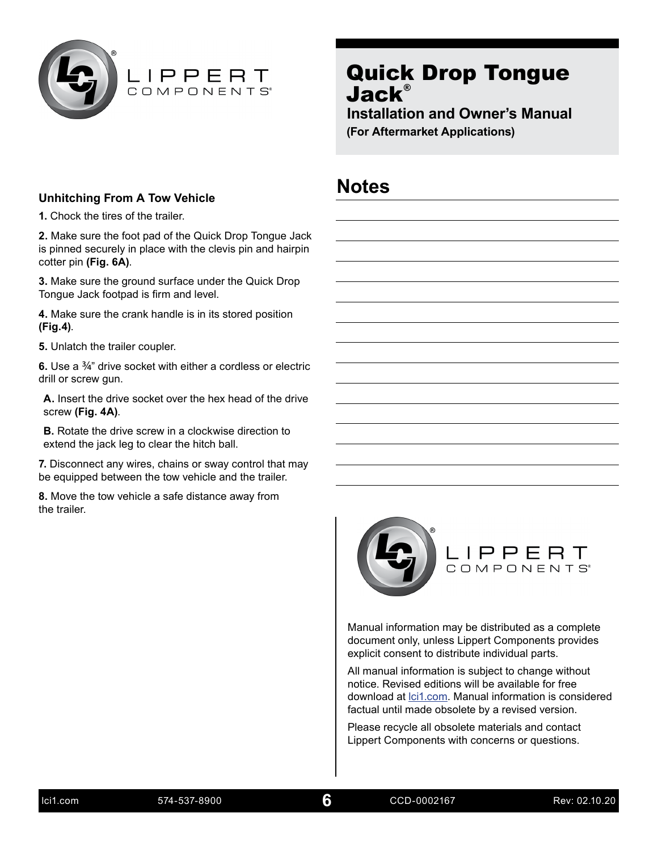<span id="page-5-0"></span>

**Installation and Owner's Manual (For Aftermarket Applications)**

**Notes**

#### **Unhitching From A Tow Vehicle**

**1.** Chock the tires of the trailer.

**2.** Make sure the foot pad of the Quick Drop Tongue Jack is pinned securely in place with the clevis pin and hairpin cotter pin **(Fig. 6A)**.

**3.** Make sure the ground surface under the Quick Drop Tongue Jack footpad is firm and level.

**4.** Make sure the crank handle is in its stored position **(Fig.4)**.

**5.** Unlatch the trailer coupler.

**6.** Use a 3/4" drive socket with either a cordless or electric drill or screw gun.

**A.** Insert the drive socket over the hex head of the drive screw **(Fig. 4A)**.

**B.** Rotate the drive screw in a clockwise direction to extend the jack leg to clear the hitch ball.

**7.** Disconnect any wires, chains or sway control that may be equipped between the tow vehicle and the trailer.

**8.** Move the tow vehicle a safe distance away from the trailer.



Manual information may be distributed as a complete document only, unless Lippert Components provides explicit consent to distribute individual parts.

All manual information is subject to change without notice. Revised editions will be available for free download at *lci1.com*. Manual information is considered factual until made obsolete by a revised version.

Please recycle all obsolete materials and contact Lippert Components with concerns or questions.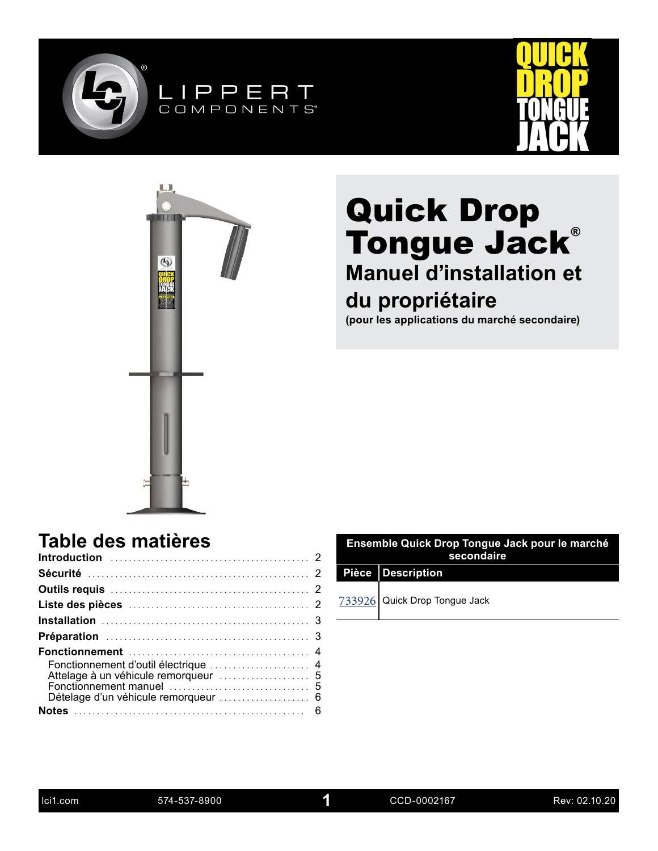





## **Manuel d'installation et du propriétaire**

**(pour les applications du marché secondaire)**

### **Table des matières**

| Dételage d'un véhicule remorqueur  6 |  |
|--------------------------------------|--|
|                                      |  |

| Ensemble Quick Drop Tongue Jack pour le marché<br>secondaire |                               |  |  |
|--------------------------------------------------------------|-------------------------------|--|--|
|                                                              | Pièce Description             |  |  |
|                                                              | 733926 Quick Drop Tongue Jack |  |  |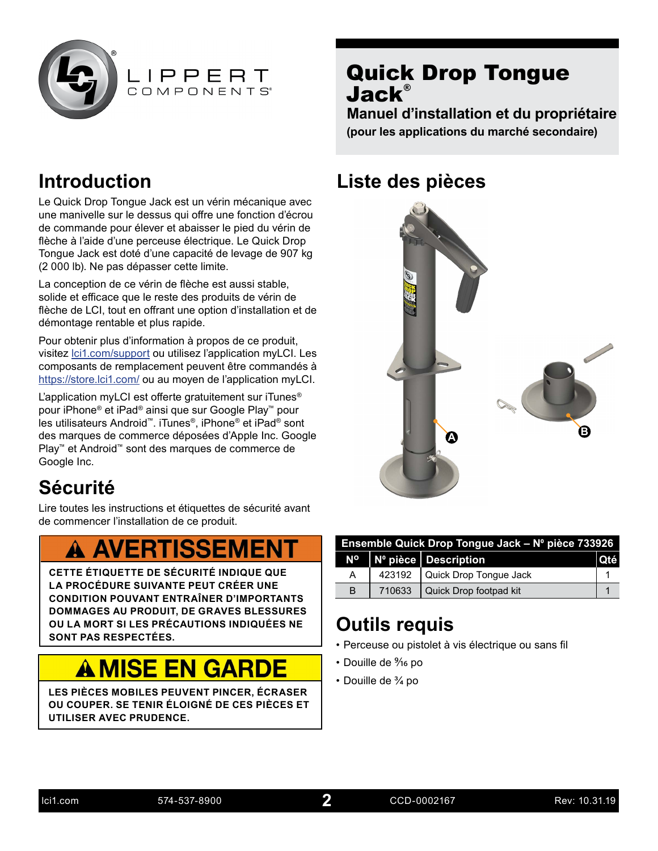



**Manuel d'installation et du propriétaire (pour les applications du marché secondaire)**

### **Introduction**

Le Quick Drop Tongue Jack est un vérin mécanique avec une manivelle sur le dessus qui offre une fonction d'écrou de commande pour élever et abaisser le pied du vérin de flèche à l'aide d'une perceuse électrique. Le Quick Drop Tongue Jack est doté d'une capacité de levage de 907 kg (2 000 lb). Ne pas dépasser cette limite.

La conception de ce vérin de flèche est aussi stable, solide et efficace que le reste des produits de vérin de flèche de LCI, tout en offrant une option d'installation et de démontage rentable et plus rapide.

Pour obtenir plus d'information à propos de ce produit, visitez [lci1.com/support](https://www.lci1.com/support/) ou utilisez l'application myLCI. Les composants de remplacement peuvent être commandés à <https://store.lci1.com/>ou au moyen de l'application myLCI.

L'application myLCI est offerte gratuitement sur iTunes® pour iPhone® et iPad® ainsi que sur Google Play™ pour les utilisateurs Android™. iTunes®, iPhone® et iPad® sont des marques de commerce déposées d'Apple Inc. Google Play™ et Android™ sont des marques de commerce de Google Inc.

## **Sécurité**

Lire toutes les instructions et étiquettes de sécurité avant de commencer l'installation de ce produit.

## **A AVERTISSEMENT**

**CETTE ÉTIQUETTE DE SÉCURITÉ INDIQUE QUE LA PROCÉDURE SUIVANTE PEUT CRÉER UNE CONDITION POUVANT ENTRAÎNER D'IMPORTANTS DOMMAGES AU PRODUIT, DE GRAVES BLESSURES OU LA MORT SI LES PRÉCAUTIONS INDIQUÉES NE SONT PAS RESPECTÉES.**

# **A MISE EN GARDE**

**LES PIÈCES MOBILES PEUVENT PINCER, ÉCRASER OU COUPER. SE TENIR ÉLOIGNÉ DE CES PIÈCES ET UTILISER AVEC PRUDENCE.**

### **Liste des pièces**



| Ensemble Quick Drop Tongue Jack - Nº pièce 733926 |        |                         |       |
|---------------------------------------------------|--------|-------------------------|-------|
|                                                   |        | Nº Nº pièce Description | l Oté |
|                                                   | 423192 | Quick Drop Tongue Jack  |       |
| B                                                 | 710633 | Quick Drop footpad kit  |       |

## **Outils requis**

- Perceuse ou pistolet à vis électrique ou sans fil
- Douille de % po
- Douille de ¾ po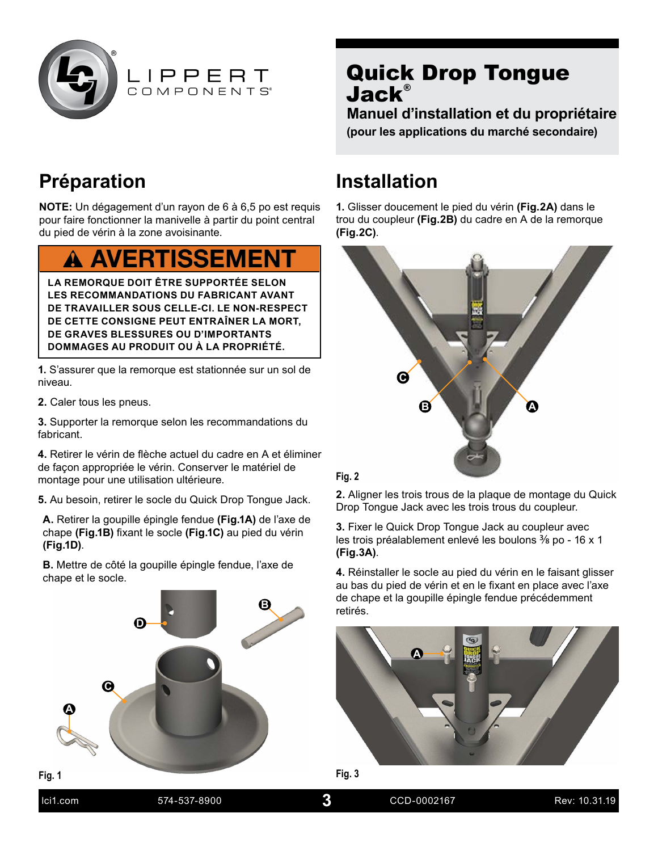



**Manuel d'installation et du propriétaire (pour les applications du marché secondaire)**

## **Préparation**

**NOTE:** Un dégagement d'un rayon de 6 à 6,5 po est requis pour faire fonctionner la manivelle à partir du point central du pied de vérin à la zone avoisinante.

## **A AVERTISSEMENT**

**LA REMORQUE DOIT ÊTRE SUPPORTÉE SELON LES RECOMMANDATIONS DU FABRICANT AVANT DE TRAVAILLER SOUS CELLE-CI. LE NON-RESPECT DE CETTE CONSIGNE PEUT ENTRAÎNER LA MORT, DE GRAVES BLESSURES OU D'IMPORTANTS DOMMAGES AU PRODUIT OU À LA PROPRIÉTÉ.**

**1.** S'assurer que la remorque est stationnée sur un sol de niveau.

**2.** Caler tous les pneus.

**3.** Supporter la remorque selon les recommandations du fabricant.

**4.** Retirer le vérin de flèche actuel du cadre en A et éliminer de façon appropriée le vérin. Conserver le matériel de montage pour une utilisation ultérieure.

**5.** Au besoin, retirer le socle du Quick Drop Tongue Jack.

**A.** Retirer la goupille épingle fendue **(Fig.1A)** de l'axe de chape **(Fig.1B)** fixant le socle **(Fig.1C)** au pied du vérin **(Fig.1D)**.

**B.** Mettre de côté la goupille épingle fendue, l'axe de chape et le socle.



### **Installation**

**1.** Glisser doucement le pied du vérin **(Fig.2A)** dans le trou du coupleur **(Fig.2B)** du cadre en A de la remorque **(Fig.2C)**.



#### **Fig. 2**

**2.** Aligner les trois trous de la plaque de montage du Quick Drop Tongue Jack avec les trois trous du coupleur.

**3.** Fixer le Quick Drop Tongue Jack au coupleur avec les trois préalablement enlevé les boulons 3/8 po - 16 x 1 **(Fig.3A)**.

**4.** Réinstaller le socle au pied du vérin en le faisant glisser au bas du pied de vérin et en le fixant en place avec l'axe de chape et la goupille épingle fendue précédemment retirés.





| lci1.com | 574-537-8900 | CCD-0002167 | Rev: 10.31.19 |
|----------|--------------|-------------|---------------|
|          |              |             |               |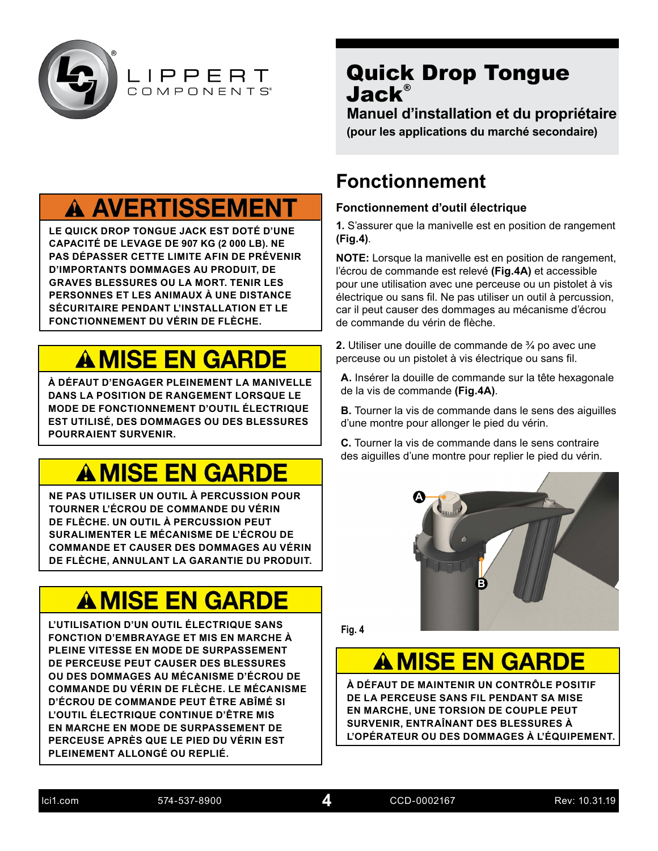

**Manuel d'installation et du propriétaire (pour les applications du marché secondaire)**

## **A AVERTISSEMENT**

LIPPERT COMPONENTS®

**LE QUICK DROP TONGUE JACK EST DOTÉ D'UNE CAPACITÉ DE LEVAGE DE 907 KG (2 000 LB). NE PAS DÉPASSER CETTE LIMITE AFIN DE PRÉVENIR D'IMPORTANTS DOMMAGES AU PRODUIT, DE GRAVES BLESSURES OU LA MORT. TENIR LES PERSONNES ET LES ANIMAUX À UNE DISTANCE SÉCURITAIRE PENDANT L'INSTALLATION ET LE FONCTIONNEMENT DU VÉRIN DE FLÈCHE.**

# **A MISE EN GARDE**

**À DÉFAUT D'ENGAGER PLEINEMENT LA MANIVELLE DANS LA POSITION DE RANGEMENT LORSQUE LE MODE DE FONCTIONNEMENT D'OUTIL ÉLECTRIQUE EST UTILISÉ, DES DOMMAGES OU DES BLESSURES POURRAIENT SURVENIR.**

# **A MISE EN GARDE**

**NE PAS UTILISER UN OUTIL À PERCUSSION POUR TOURNER L'ÉCROU DE COMMANDE DU VÉRIN DE FLÈCHE. UN OUTIL À PERCUSSION PEUT SURALIMENTER LE MÉCANISME DE L'ÉCROU DE COMMANDE ET CAUSER DES DOMMAGES AU VÉRIN DE FLÈCHE, ANNULANT LA GARANTIE DU PRODUIT.**

# **A MISE EN GARDE**

**L'UTILISATION D'UN OUTIL ÉLECTRIQUE SANS FONCTION D'EMBRAYAGE ET MIS EN MARCHE À PLEINE VITESSE EN MODE DE SURPASSEMENT DE PERCEUSE PEUT CAUSER DES BLESSURES OU DES DOMMAGES AU MÉCANISME D'ÉCROU DE COMMANDE DU VÉRIN DE FLÈCHE. LE MÉCANISME D'ÉCROU DE COMMANDE PEUT ÊTRE ABÎMÉ SI L'OUTIL ÉLECTRIQUE CONTINUE D'ÊTRE MIS EN MARCHE EN MODE DE SURPASSEMENT DE PERCEUSE APRÈS QUE LE PIED DU VÉRIN EST PLEINEMENT ALLONGÉ OU REPLIÉ.**

### **Fonctionnement**

#### **Fonctionnement d'outil électrique**

**1.** S'assurer que la manivelle est en position de rangement **(Fig.4)**.

**NOTE:** Lorsque la manivelle est en position de rangement, l'écrou de commande est relevé **(Fig.4A)** et accessible pour une utilisation avec une perceuse ou un pistolet à vis électrique ou sans fil. Ne pas utiliser un outil à percussion, car il peut causer des dommages au mécanisme d'écrou de commande du vérin de flèche.

**2.** Utiliser une douille de commande de ¾ po avec une perceuse ou un pistolet à vis électrique ou sans fil.

**A.** Insérer la douille de commande sur la tête hexagonale de la vis de commande **(Fig.4A)**.

**B.** Tourner la vis de commande dans le sens des aiguilles d'une montre pour allonger le pied du vérin.

**C.** Tourner la vis de commande dans le sens contraire des aiguilles d'une montre pour replier le pied du vérin.



**Fig. 4**

# **A MISE EN GARDE**

**À DÉFAUT DE MAINTENIR UN CONTRÔLE POSITIF DE LA PERCEUSE SANS FIL PENDANT SA MISE EN MARCHE, UNE TORSION DE COUPLE PEUT SURVENIR, ENTRAÎNANT DES BLESSURES À L'OPÉRATEUR OU DES DOMMAGES À L'ÉQUIPEMENT.**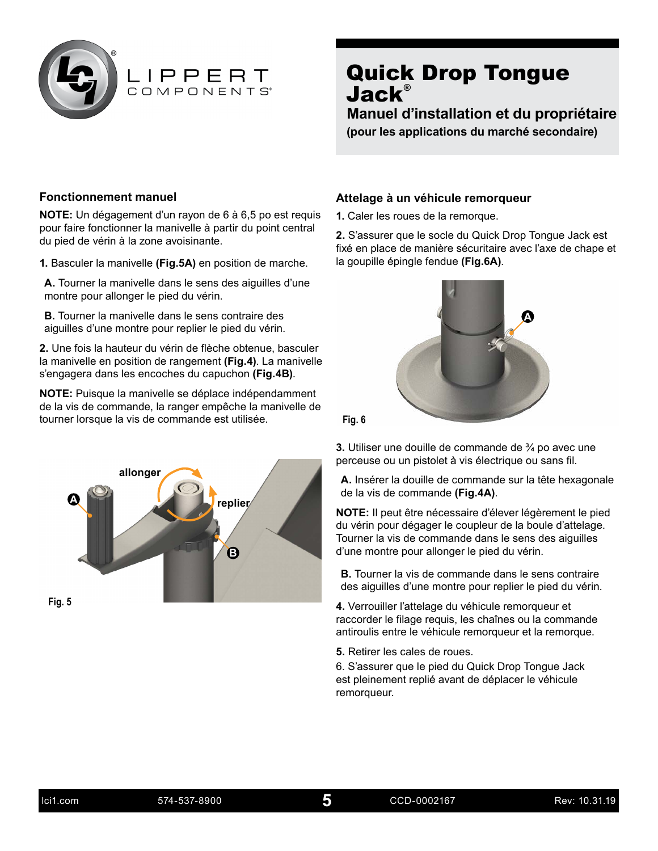

**Manuel d'installation et du propriétaire**

**(pour les applications du marché secondaire)**

#### **Fonctionnement manuel**

**NOTE:** Un dégagement d'un rayon de 6 à 6,5 po est requis pour faire fonctionner la manivelle à partir du point central du pied de vérin à la zone avoisinante.

**1.** Basculer la manivelle **(Fig.5A)** en position de marche.

**A.** Tourner la manivelle dans le sens des aiguilles d'une montre pour allonger le pied du vérin.

**B.** Tourner la manivelle dans le sens contraire des aiguilles d'une montre pour replier le pied du vérin.

**2.** Une fois la hauteur du vérin de flèche obtenue, basculer la manivelle en position de rangement **(Fig.4)**. La manivelle s'engagera dans les encoches du capuchon **(Fig.4B)**.

**NOTE:** Puisque la manivelle se déplace indépendamment de la vis de commande, la ranger empêche la manivelle de tourner lorsque la vis de commande est utilisée.



#### **Attelage à un véhicule remorqueur**

**1.** Caler les roues de la remorque.

**2.** S'assurer que le socle du Quick Drop Tongue Jack est fixé en place de manière sécuritaire avec l'axe de chape et la goupille épingle fendue **(Fig.6A)**.





**3.** Utiliser une douille de commande de ¾ po avec une perceuse ou un pistolet à vis électrique ou sans fil.

**A.** Insérer la douille de commande sur la tête hexagonale de la vis de commande **(Fig.4A)**.

**NOTE:** Il peut être nécessaire d'élever légèrement le pied du vérin pour dégager le coupleur de la boule d'attelage. Tourner la vis de commande dans le sens des aiguilles d'une montre pour allonger le pied du vérin.

**B.** Tourner la vis de commande dans le sens contraire des aiguilles d'une montre pour replier le pied du vérin.

**4.** Verrouiller l'attelage du véhicule remorqueur et raccorder le filage requis, les chaînes ou la commande antiroulis entre le véhicule remorqueur et la remorque.

**5.** Retirer les cales de roues.

6. S'assurer que le pied du Quick Drop Tongue Jack est pleinement replié avant de déplacer le véhicule remorqueur.

**5**